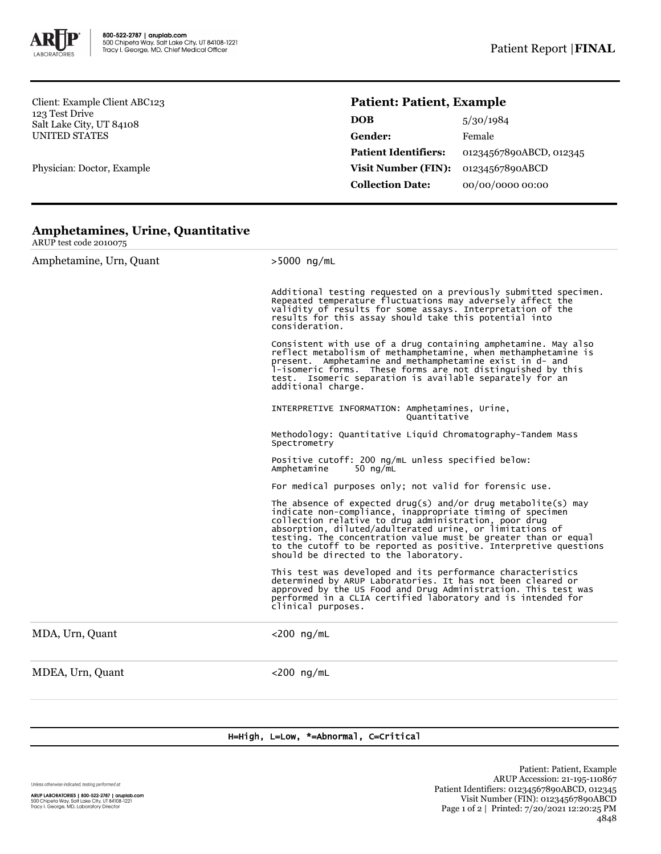

Client: Example Client ABC123 123 Test Drive Salt Lake City, UT 84108 UNITED STATES

Physician: Doctor, Example

## **Patient: Patient, Example**

| 5/30/1984               |
|-------------------------|
| Female                  |
| 01234567890ABCD, 012345 |
| 01234567890ABCD         |
| 00/00/0000 00:00        |
|                         |

## **Amphetamines, Urine, Quantitative**

| ARUP test code 2010075  |                                                                                                                                                                                                                                                                                                                                                                                                                                |  |  |  |
|-------------------------|--------------------------------------------------------------------------------------------------------------------------------------------------------------------------------------------------------------------------------------------------------------------------------------------------------------------------------------------------------------------------------------------------------------------------------|--|--|--|
| Amphetamine, Urn, Quant | $>5000$ ng/mL                                                                                                                                                                                                                                                                                                                                                                                                                  |  |  |  |
|                         | Additional testing requested on a previously submitted specimen.<br>Repeated temperature fluctuations may adversely affect the<br>validity of results for some assays. Interpretation of the<br>results for this assay should take this potential into<br>consideration.                                                                                                                                                       |  |  |  |
|                         | Consistent with use of a drug containing amphetamine. May also reflect metabolism of methamphetamine, when methamphetamine is<br>present. Amphetamine and methamphetamine exist in d- and<br>1-isomeric forms. These forms are not distinguished by this<br>test. Isomeric separation is available separately for an<br>additional charge.                                                                                     |  |  |  |
|                         | INTERPRETIVE INFORMATION: Amphetamines, Urine,<br>Quantitative                                                                                                                                                                                                                                                                                                                                                                 |  |  |  |
|                         | Methodology: Quantitative Liquid Chromatography-Tandem Mass<br>Spectrometry                                                                                                                                                                                                                                                                                                                                                    |  |  |  |
|                         | Positive cutoff: 200 ng/mL unless specified below:<br>Amphetamine<br>50 $na/mL$                                                                                                                                                                                                                                                                                                                                                |  |  |  |
|                         | For medical purposes only; not valid for forensic use.                                                                                                                                                                                                                                                                                                                                                                         |  |  |  |
|                         | The absence of expected drug(s) and/or drug metabolite(s) may<br>indicate non-compliance, inappropriate timing of specimen<br>collection relative to drug administration, poor drug<br>absorption, diluted/adulterated urine, or limitations of<br>testing. The concentration value must be greater than or equal<br>to the cutoff to be reported as positive. Interpretive questions<br>should be directed to the laboratory. |  |  |  |
|                         | This test was developed and its performance characteristics<br>determined by ARUP Laboratories. It has not been cleared or<br>approved by the US Food and Drug Administration. This test was<br>performed in a CLIA certified laboratory and is intended for<br>clinical purposes.                                                                                                                                             |  |  |  |
| MDA, Urn, Quant         | $<$ 200 ng/mL                                                                                                                                                                                                                                                                                                                                                                                                                  |  |  |  |
| MDEA, Urn, Quant        | $<$ 200 ng/mL                                                                                                                                                                                                                                                                                                                                                                                                                  |  |  |  |
|                         |                                                                                                                                                                                                                                                                                                                                                                                                                                |  |  |  |

H=High, L=Low, \*=Abnormal, C=Critical

Unless otherwise indicated, testing performed at: